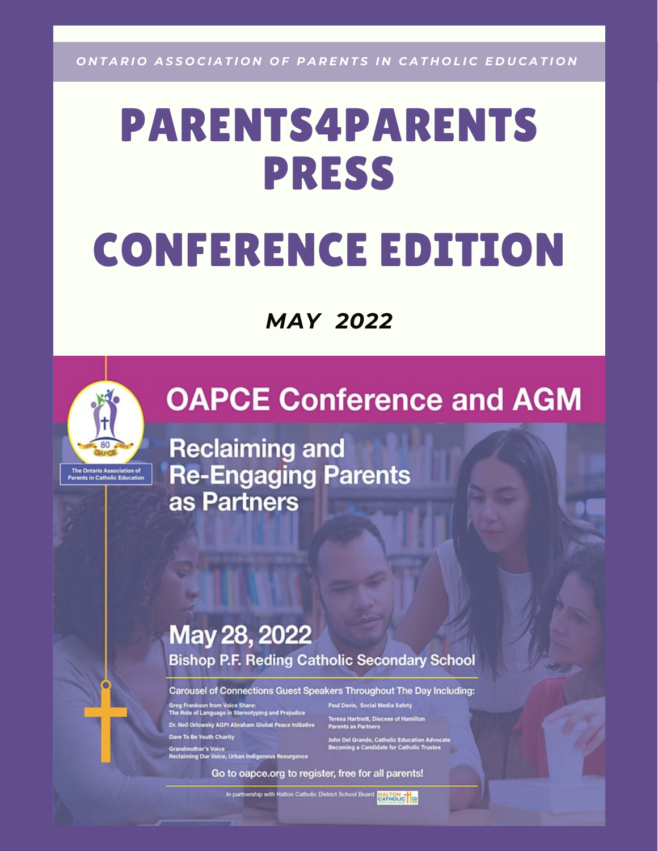ONTARIO ASSOCIATION OF PARENTS IN CATHOLIC EDUCATION

# PARENTS4PARENTS PRESS CONFERENCE EDITION

*MAY 2022*



G

# **OAPCE Conference and AGM**

**Reclaiming and Re-Engaging Parents** as Partners

#### May 28, 2022 **Bishop P.F. Reding Catholic Secondary School**

Carousel of Connections Guest Speakers Throughout The Day Including:

rankson from Voice Share:<br>le of Language in Stereotyping and Prejudice Dr. Neil Orlowsky AGPI Abraham Global Peace Initiative Dare To Be Youth Charity

Grandmother's Voice<br>Reclaiming Our Voice, Urban Indigenous Resurgence

Paul Davis, Social Media Safety **Teresa Hartnett, Diocese of Hamilton<br>Parents as Partners** John Del Grande, Catholic Education Advocate<br>Becoming a Candidate for Catholic Trustee

Go to oapce.org to register, free for all parents!

In partnership with Halton Catholic District School Board<br>EATLOLIC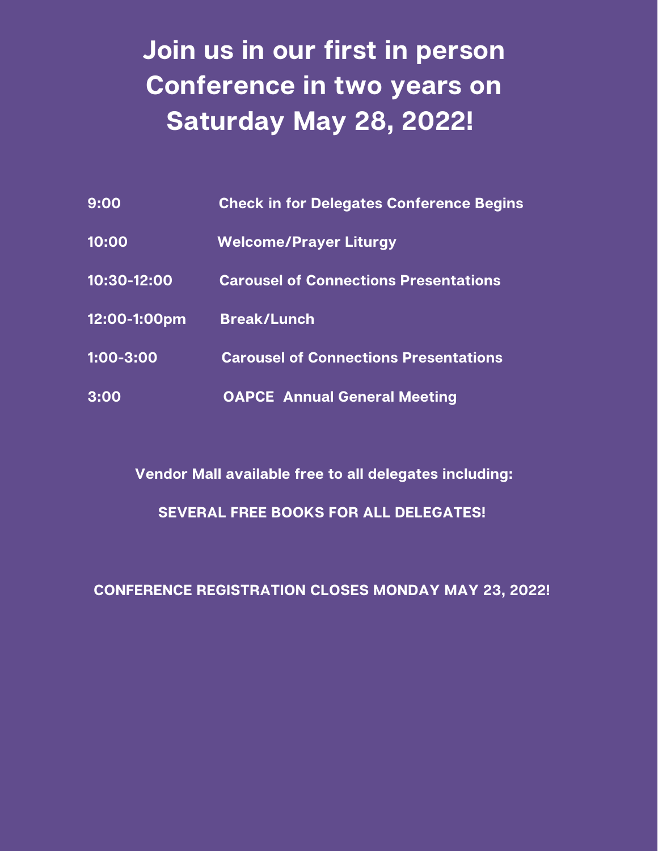# **Join us in our first in person Conference in two years on Saturday May 28, 2022!**

| 9:00         | <b>Check in for Delegates Conference Begins</b> |
|--------------|-------------------------------------------------|
| 10:00        | <b>Welcome/Prayer Liturgy</b>                   |
| 10:30-12:00  | <b>Carousel of Connections Presentations</b>    |
| 12:00-1:00pm | <b>Break/Lunch</b>                              |
| 1:00-3:00    | <b>Carousel of Connections Presentations</b>    |
| 3:00         | <b>OAPCE Annual General Meeting</b>             |

**Vendor Mall available free to all delegates including: SEVERAL FREE BOOKS FOR ALL DELEGATES!**

**CONFERENCE REGISTRATION CLOSES MONDAY MAY 23, 2022!**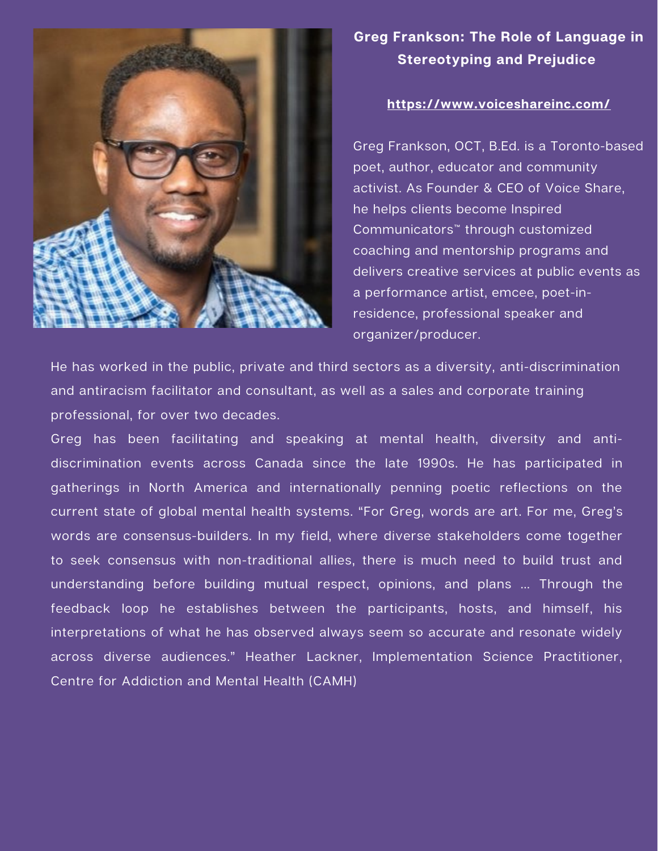

#### **Greg Frankson: The Role of Language in Stereotyping and Prejudice**

#### **<https://www.voiceshareinc.com/>**

Greg Frankson, OCT, B.Ed. is a Toronto-based poet, author, educator and community activist. As Founder & CEO of Voice Share, he helps clients become Inspired Communicators™ through customized coaching and mentorship programs and delivers creative services at public events as a performance artist, emcee, poet-inresidence, professional speaker and organizer/producer.

He has worked in the public, private and third sectors as a diversity, anti-discrimination and antiracism facilitator and consultant, as well as a sales and corporate training professional, for over two decades.

Greg has been facilitating and speaking at mental health, diversity and antidiscrimination events across Canada since the late 1990s. He has participated in gatherings in North America and internationally penning poetic reflections on the current state of global mental health systems. "For Greg, words are art. For me, Greg's words are consensus-builders. In my field, where diverse stakeholders come together to seek consensus with non-traditional allies, there is much need to build trust and understanding before building mutual respect, opinions, and plans … Through the feedback loop he establishes between the participants, hosts, and himself, his interpretations of what he has observed always seem so accurate and resonate widely across diverse audiences." Heather Lackner, Implementation Science Practitioner, Centre for Addiction and Mental Health (CAMH)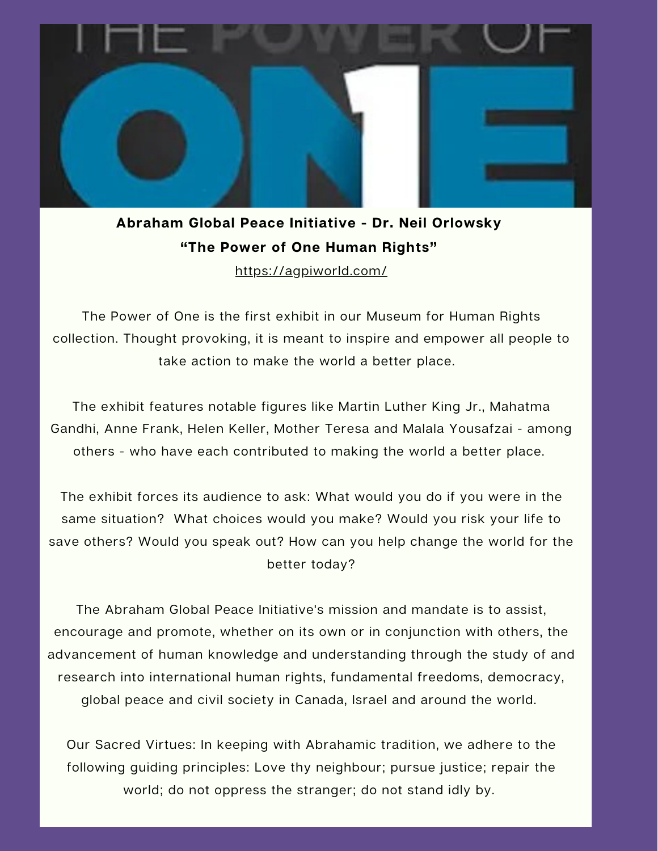

### **Abraham Global Peace Initiative - Dr. Neil Orlowsky "The Power of One Human Rights"**

<https://agpiworld.com/>

The Power of One is the first exhibit in our Museum for Human Rights collection. Thought provoking, it is meant to inspire and empower all people to take action to make the world a better place.

The exhibit features notable figures like Martin Luther King Jr., Mahatma Gandhi, Anne Frank, Helen Keller, Mother Teresa and Malala Yousafzai - among others - who have each contributed to making the world a better place.

The exhibit forces its audience to ask: What would you do if you were in the same situation? What choices would you make? Would you risk your life to save others? Would you speak out? How can you help change the world for the better today?

The Abraham Global Peace Initiative's mission and mandate is to assist, encourage and promote, whether on its own or in conjunction with others, the advancement of human knowledge and understanding through the study of and research into international human rights, fundamental freedoms, democracy, global peace and civil society in Canada, Israel and around the world.

Our Sacred Virtues: In keeping with Abrahamic tradition, we adhere to the following guiding principles: Love thy neighbour; pursue justice; repair the world; do not oppress the stranger; do not stand idly by.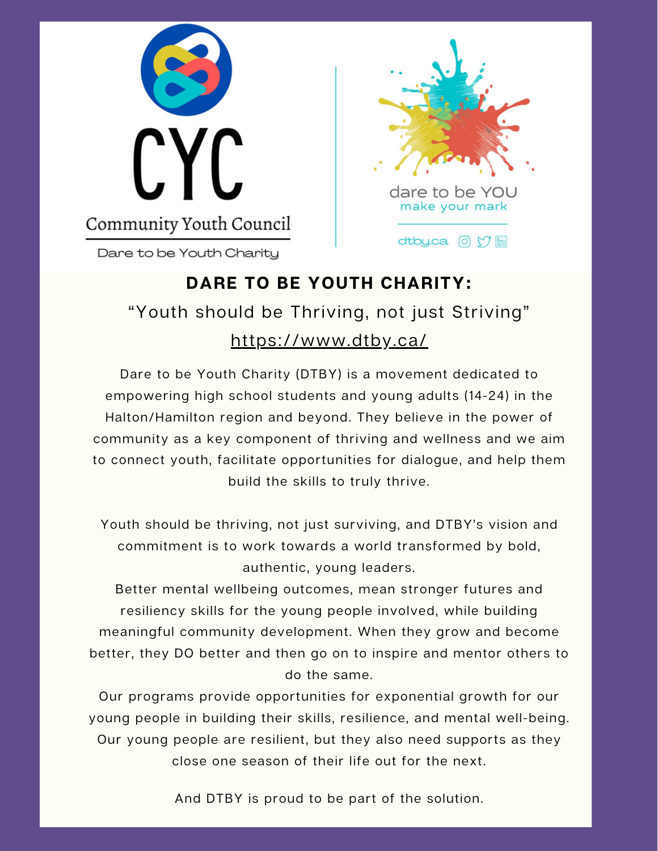

Dare to be Youth Charitu



### **DARE TO BE YOUTH CHARITY:** "Youth should be Thriving, not just Striving" <https://www.dtby.ca/>

Dare to be Youth Charity (DTBY) is a movement dedicated to empowering high school students and young adults (14-24) in the Halton/Hamilton region and beyond. They believe in the power of community as a key component of thriving and wellness and we aim to connect youth, facilitate opportunities for dialogue, and help them build the skills to truly thrive.

Youth should be thriving, not just surviving, and DTBY's vision and commitment is to work towards a world transformed by bold, authentic, young leaders.

Better mental wellbeing outcomes, mean stronger futures and resiliency skills for the young people involved, while building meaningful community development. When they grow and become better, they DO better and then go on to inspire and mentor others to do the same.

Our programs provide opportunities for exponential growth for our young people in building their skills, resilience, and mental well-being. Our young people are resilient, but they also need supports as they close one season of their life out for the next.

And DTBY is proud to be part of the solution.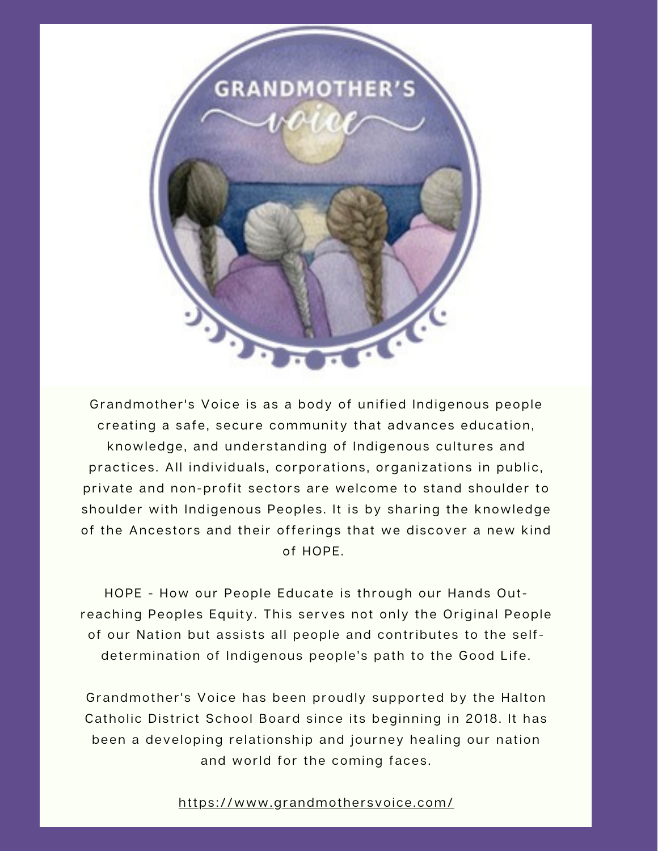

Grandmother's Voice is as a body of unified Indigenous people creating a safe, secure community that advances education, knowledge, and understanding of Indigenous cultures and practices. All individuals, corporations, organizations in public, private and non-profit sectors are welcome to stand shoulder to shoulder with Indigenous Peoples. It is by sharing the knowledge of the Ancestors and their offerings that we discover a new kind of HOPE.

HOPE - How our People Educate is through our Hands Outreaching Peoples Equity. This serves not only the Original People of our Nation but assists all people and contributes to the selfdetermination of Indigenous people's path to the Good Life.

Grandmother's Voice has been proudly supported by the Halton Catholic District School Board since its beginning in 2018. It has been a developing relationship and journey healing our nation and world for the coming faces.

#### https://www.gr[andmothe](https://www.grandmothersvoice.com/)rsvoice.com/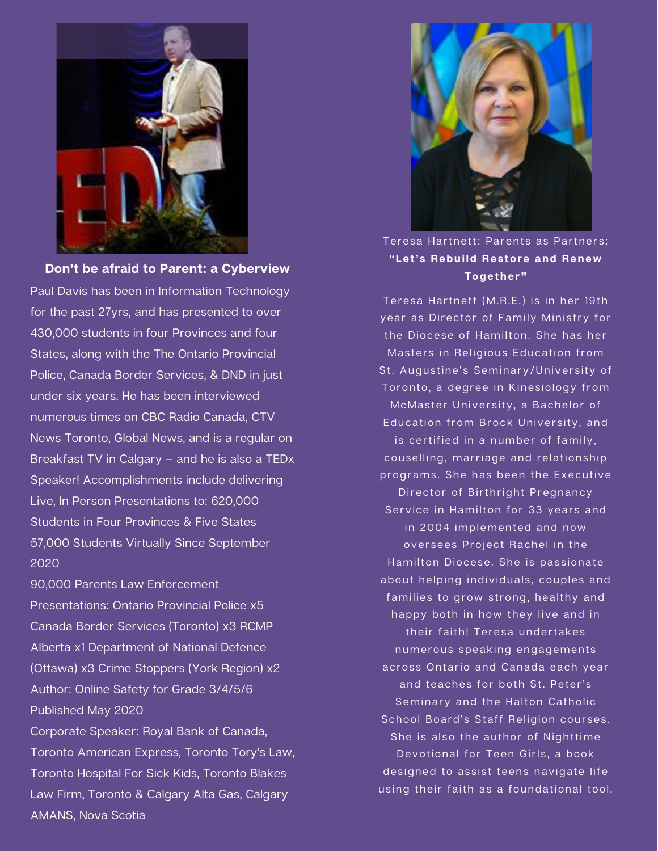

**Don't be afraid to Parent: a Cyberview**

Paul Davis has been in Information Technology for the past 27yrs, and has presented to over 430,000 students in four Provinces and four States, along with the The Ontario Provincial Police, Canada Border Services, & DND in just under six years. He has been interviewed numerous times on CBC Radio Canada, CTV News Toronto, Global News, and is a regular on Breakfast TV in Calgary – and he is also a TEDx Speaker! Accomplishments include delivering Live, In Person Presentations to: 620,000 Students in Four Provinces & Five States 57,000 Students Virtually Since September 2020

90,000 Parents Law Enforcement Presentations: Ontario Provincial Police x5 Canada Border Services (Toronto) x3 RCMP Alberta x1 Department of National Defence (Ottawa) x3 Crime Stoppers (York Region) x2 Author: Online Safety for Grade 3/4/5/6 Published May 2020 Corporate Speaker: Royal Bank of Canada, Toronto American Express, Toronto Tory's Law, Toronto Hospital For Sick Kids, Toronto Blakes Law Firm, Toronto & Calgary Alta Gas, Calgary AMANS, Nova Scotia



Teresa Hartnett: Parents as Partners: **"Let' s Rebui ld Res tore and Renew Together "**

Teresa Hartnett (M.R.E.) is in her 19th year as Director of Family Ministry for the Diocese of Hamilton. She has her Masters in Religious Education from St. Augustine's Seminary/University of Toronto, a degree in Kinesiology from McMaster University, a Bachelor of Education from Brock University, and is certified in a number of family, couselling, marriage and relationship programs. She has been the Executive Director of Birthright Pregnancy Service in Hamilton for 33 years and in 2004 implemented and now oversees Project Rachel in the Hamilton Diocese. She is passionate about helping individuals, couples and families to grow strong, healthy and happy both in how they live and in their faith! Teresa undertakes numerous speaking engagements across Ontario and Canada each year and teaches for both St. Peter's Seminary and the Halton Catholic School Board's Staff Religion courses. She is also the author of Nighttime Devotional for Teen Girls, a book designed to assist teens navigate life using their faith as a foundational tool.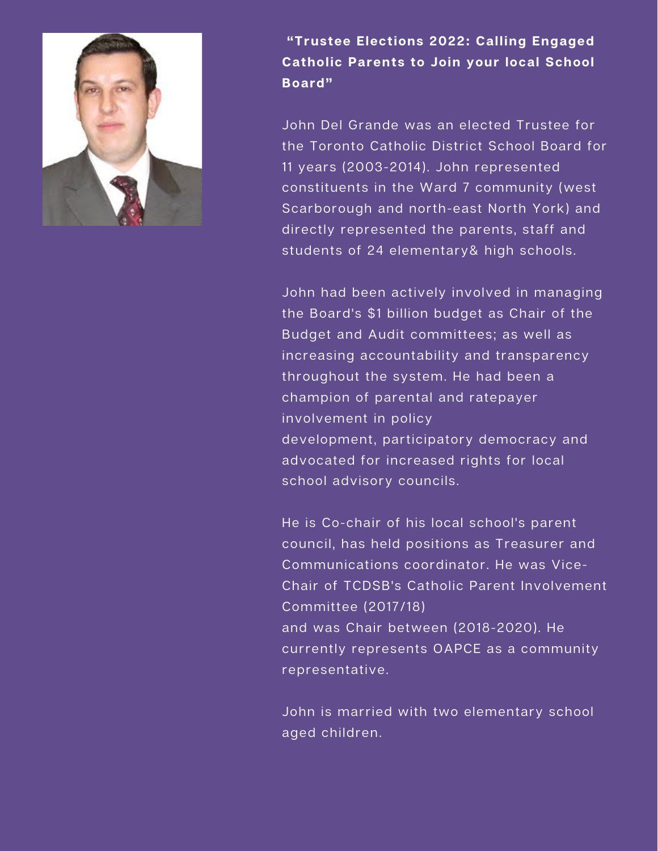

**"Trustee Elections 2022: Calling Engaged Catholic Parents to Join your local School Board"**

John Del Grande was an elected Trustee for the Toronto Catholic District School Board for 11 years (2003-2014). John represented constituents in the Ward 7 community (west Scarborough and north-east North York) and directly represented the parents, staff and students of 24 elementary& high schools.

John had been actively involved in managing the Board's \$1 billion budget as Chair of the Budget and Audit committees; as well as increasing accountability and transparency throughout the system. He had been a champion of parental and ratepayer involvement in policy development, participatory democracy and advocated for increased rights for local school advisory councils.

He is Co-chair of his local school's parent council, has held positions as Treasurer and Communications coordinator. He was Vice-Chair of TCDSB's Catholic Parent Involvement Committee (2017/18) and was Chair between (2018-2020). He currently represents OAPCE as a community representative.

John is married with two elementary school aged children.